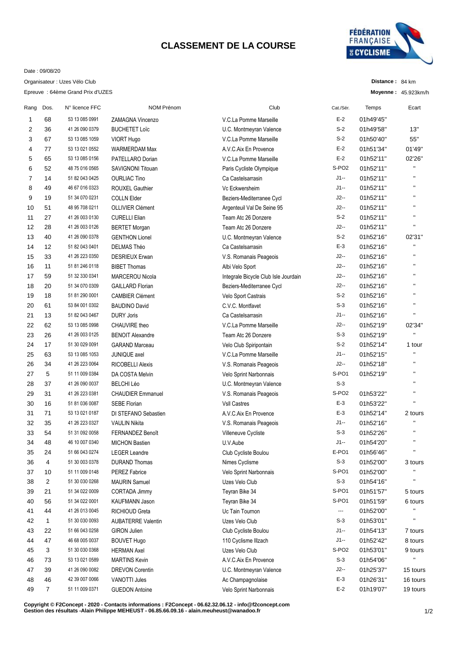## **CLASSEMENT DE LA COURSE**



**Distance :** 84 km **Moyenne :** 45.923km/h

Date : 09/08/20

Organisateur : Uzes Vélo Club

Epreuve : 64ème Grand Prix d'UZES

| Rang | Dos.           | N° licence FFC | <b>NOM Prénom</b>         | Club                                 | Cat./Sér.         | Temps     | Ecart          |
|------|----------------|----------------|---------------------------|--------------------------------------|-------------------|-----------|----------------|
| 1    | 68             | 53 13 085 0991 | ZAMAGNA Vincenzo          | V.C.La Pomme Marseille               | $E-2$             | 01h49'45" |                |
| 2    | 36             | 41 26 090 0379 | <b>BUCHETET Loïc</b>      | U.C. Montmeyran Valence              | $S-2$             | 01h49'58" | 13"            |
| 3    | 67             | 53 13 085 1059 | <b>VIORT Hugo</b>         | V.C.La Pomme Marseille               | $S-2$             | 01h50'40" | 55"            |
| 4    | 77             | 53 13 021 0552 | WARMERDAM Max             | A.V.C.Aix En Provence                | $E-2$             | 01h51'34" | 01'49"         |
| 5    | 65             | 53 13 085 0156 | PATELLARO Dorian          | V.C.La Pomme Marseille               | $E-2$             | 01h52'11" | 02'26"         |
| 6    | 52             | 48 75 016 0565 | SAVIGNONI Titouan         | Paris Cycliste Olympique             | S-PO <sub>2</sub> | 01h52'11" | Ħ              |
| 7    | 14             | 51 82 043 0425 | <b>OURLIAC Tino</b>       | Ca Castelsarrasin                    | J1--              | 01h52'11" | $\blacksquare$ |
| 8    | 49             | 46 67 016 0323 | <b>ROUXEL Gauthier</b>    | Vc Eckwersheim                       | $J1 -$            | 01h52'11" | $\blacksquare$ |
| 9    | 19             | 51 34 070 0231 | <b>COLLN Elder</b>        | Beziers-Mediterranee Cycl            | $J2-$             | 01h52'11" | $\blacksquare$ |
| 10   | 51             | 48 95 708 0211 | <b>OLLIVIER Clément</b>   | Argenteuil Val De Seine 95           | $J2-$             | 01h52'11" | П              |
| 11   | 27             | 41 26 003 0130 | <b>CURELLI Elian</b>      | Team Atc 26 Donzere                  | $S-2$             | 01h52'11" | П              |
| 12   | 28             | 41 26 003 0126 | <b>BERTET Morgan</b>      | Team Atc 26 Donzere                  | $J2-$             | 01h52'11" | Ħ              |
| 13   | 40             | 41 26 090 0378 | <b>GENTHON Lionel</b>     | U.C. Montmeyran Valence              | $S-2$             | 01h52'16" | 02'31"         |
| 14   | 12             | 51 82 043 0401 | <b>DELMAS Théo</b>        | Ca Castelsarrasin                    | E-3               | 01h52'16" | Ħ              |
| 15   | 33             | 41 26 223 0350 | <b>DESRIEUX Erwan</b>     | V.S. Romanais Peageois               | $J2-$             | 01h52'16" | П              |
| 16   | 11             | 51 81 246 0118 | <b>BIBET Thomas</b>       | Albi Velo Sport                      | $J2-$             | 01h52'16" | $\blacksquare$ |
| 17   | 59             | 51 32 330 0341 | <b>MARCEROU Nicola</b>    | Integrale Bicycle Club Isle Jourdain | $J2-$             | 01h52'16" | $\blacksquare$ |
| 18   | 20             | 51 34 070 0309 | <b>GAILLARD Florian</b>   | Beziers-Mediterranee Cycl            | $J2-$             | 01h52'16" | П              |
| 19   | 18             | 51 81 290 0001 | <b>CAMBIER Clément</b>    | Velo Sport Castrais                  | $S-2$             | 01h52'16" | П              |
| 20   | 61             | 53 84 001 0302 | <b>BAUDINO David</b>      | C.V.C. Montfavet                     | $S-3$             | 01h52'16" | Ħ              |
| 21   | 13             | 51 82 043 0467 | <b>DURY Joris</b>         | Ca Castelsarrasin                    | $J1 -$            | 01h52'16" | $\blacksquare$ |
| 22   | 62             | 53 13 085 0998 | CHAUVIRE theo             | V.C.La Pomme Marseille               | $J2-$             | 01h52'19" | 02'34"         |
| 23   | 26             | 41 26 003 0125 | <b>BENOIT Alexandre</b>   | Team Atc 26 Donzere                  | $S-3$             | 01h52'19" | П              |
| 24   | 17             | 51 30 029 0091 | <b>GARAND Marceau</b>     | Velo Club Spiripontain               | $S-2$             | 01h52'14" | 1 tour         |
| 25   | 63             | 53 13 085 1053 | <b>JUNIQUE</b> axel       | V.C.La Pomme Marseille               | $J1 -$            | 01h52'15" | $\blacksquare$ |
| 26   | 34             | 41 26 223 0064 | <b>RICOBELLI Alexis</b>   | V.S. Romanais Peageois               | $J2-$             | 01h52'18" | Ħ              |
| 27   | 5              | 51 11 009 0384 | DA COSTA Melvin           | Velo Sprint Narbonnais               | S-PO1             | 01h52'19" | П              |
| 28   | 37             | 41 26 090 0037 | <b>BELCHI Léo</b>         | U.C. Montmeyran Valence              | $S-3$             |           | $\blacksquare$ |
| 29   | 31             | 41 26 223 0381 | <b>CHAUDIER Emmanuel</b>  | V.S. Romanais Peageois               | S-PO <sub>2</sub> | 01h53'22" | $\blacksquare$ |
| 30   | 16             | 51 81 036 0087 | <b>SEBE Florian</b>       | <b>Vsll Castres</b>                  | $E-3$             | 01h53'22" | $\blacksquare$ |
| 31   | 71             | 53 13 021 0187 | DI STEFANO Sebastien      | A.V.C. Aix En Provence               | $E-3$             | 01h52'14" | 2 tours        |
| 32   | 35             | 41 26 223 0327 | <b>VAULIN Nikita</b>      | V.S. Romanais Peageois               | J1--              | 01h52'16" | Ħ              |
| 33   | 54             | 51 31 092 0058 | <b>FERNANDEZ Benoît</b>   | Villeneuve Cycliste                  | $S-3$             | 01h52'26" | $\blacksquare$ |
| 34   | 48             | 46 10 007 0340 | <b>MICHON Bastien</b>     | U.V.Aube                             | J1--              | 01h54'20" | П              |
| 35   | 24             | 51 66 043 0274 | <b>LEGER Leandre</b>      | Club Cycliste Boulou                 | E-PO1             | 01h56'46" | П              |
| 36   | 4              | 51 30 003 0378 | <b>DURAND Thomas</b>      | Nimes Cyclisme                       | $S-3$             | 01h52'00" | 3 tours        |
| 37   | 10             | 51 11 009 0148 | <b>PEREZ Fabrice</b>      | Velo Sprint Narbonnais               | S-PO1             | 01h52'00" |                |
| 38   | 2              | 51 30 030 0268 | <b>MAURIN Samuel</b>      | Uzes Velo Club                       | $S-3$             | 01h54'16" | П              |
| 39   | 21             | 51 34 022 0009 | CORTADA Jimmy             | Teyran Bike 34                       | S-PO1             | 01h51'57" | 5 tours        |
| 40   | 56             | 51 34 022 0001 | KAUFMANN Jason            | Teyran Bike 34                       | S-PO1             | 01h51'59" | 6 tours        |
| 41   | 44             | 41 26 013 0045 | <b>RICHIOUD Greta</b>     | Uc Tain Tournon                      | ---               | 01h52'00" |                |
| 42   | $\mathbf{1}$   | 51 30 030 0093 | <b>AUBATERRE Valentin</b> | Uzes Velo Club                       | $S-3$             | 01h53'01" | П              |
| 43   | 22             | 51 66 043 0258 | <b>GIRON Julien</b>       | Club Cycliste Boulou                 | J1--              | 01h54'13" | 7 tours        |
| 44   | 47             | 46 68 005 0037 | <b>BOUVET Hugo</b>        | 110 Cyclisme Illzach                 | J1--              | 01h52'42" | 8 tours        |
| 45   | 3              | 51 30 030 0368 | <b>HERMAN Axel</b>        | Uzes Velo Club                       | S-PO <sub>2</sub> | 01h53'01" | 9 tours        |
| 46   | 73             | 53 13 021 0589 | <b>MARTINS Kevin</b>      | A.V.C.Aix En Provence                | $S-3$             | 01h54'06" | П              |
| 47   | 39             | 41 26 090 0082 | <b>DREVON Corentin</b>    | U.C. Montmeyran Valence              | J2--              | 01h25'37" | 15 tours       |
| 48   | 46             | 42 39 007 0066 | VANOTTI Jules             | Ac Champagnolaise                    | $E-3$             | 01h26'31" | 16 tours       |
| 49   | $\overline{7}$ | 51 11 009 0371 | <b>GUEDON Antoine</b>     |                                      | $E-2$             | 01h19'07" | 19 tours       |
|      |                |                |                           | Velo Sprint Narbonnais               |                   |           |                |

**Copyright © F2Concept - 2020 - Contacts informations : F2Concept - 06.62.32.06.12 - info@f2concept.com Gestion des résultats -Alain Philippe MEHEUST - 06.85.66.09.16 - alain.meuheust@wanadoo.fr**